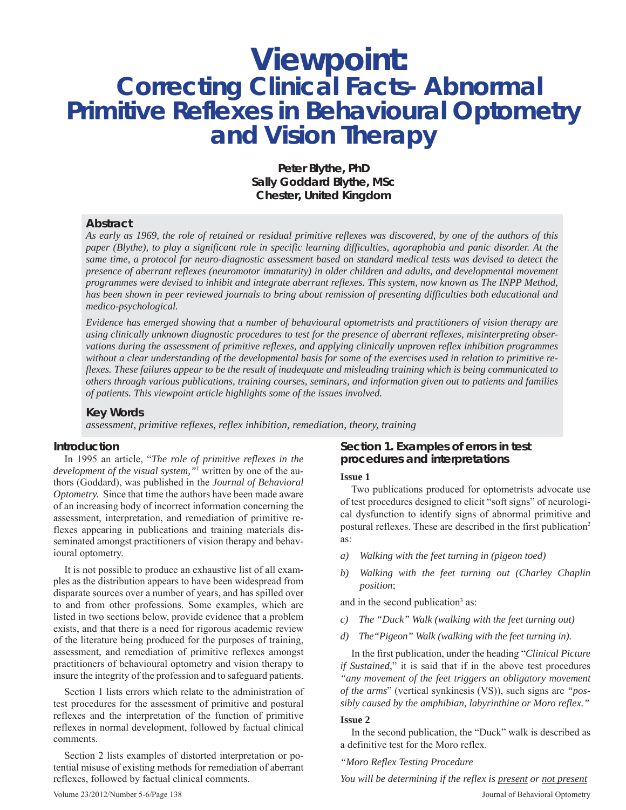## **Viewpoint: Correcting Clinical Facts- Abnormal Primitive Reflexes in Behavioural Optometry and Vision Therapy**

**Peter Blythe, PhD Sally Goddard Blythe, MSc Chester, United Kingdom**

## **Abstract**

*As early as 1969, the role of retained or residual primitive reflexes was discovered, by one of the authors of this paper (Blythe), to play a significant role in specific learning difficulties, agoraphobia and panic disorder. At the same time, a protocol for neuro-diagnostic assessment based on standard medical tests was devised to detect the presence of aberrant reflexes (neuromotor immaturity) in older children and adults, and developmental movement programmes were devised to inhibit and integrate aberrant reflexes. This system, now known as The INPP Method, has been shown in peer reviewed journals to bring about remission of presenting difficulties both educational and medico-psychological.*

*Evidence has emerged showing that a number of behavioural optometrists and practitioners of vision therapy are using clinically unknown diagnostic procedures to test for the presence of aberrant reflexes, misinterpreting observations during the assessment of primitive reflexes, and applying clinically unproven reflex inhibition programmes without a clear understanding of the developmental basis for some of the exercises used in relation to primitive reflexes. These failures appear to be the result of inadequate and misleading training which is being communicated to others through various publications, training courses, seminars, and information given out to patients and families of patients. This viewpoint article highlights some of the issues involved.*

## **Key Words**

*assessment, primitive reflexes, reflex inhibition, remediation, theory, training*

#### **Introduction**

In 1995 an article, "*The role of primitive reflexes in the development of the visual system,"1* written by one of the authors (Goddard), was published in the *Journal of Behavioral Optometry.* Since that time the authors have been made aware of an increasing body of incorrect information concerning the assessment, interpretation, and remediation of primitive reflexes appearing in publications and training materials disseminated amongst practitioners of vision therapy and behavioural optometry.

It is not possible to produce an exhaustive list of all examples as the distribution appears to have been widespread from disparate sources over a number of years, and has spilled over to and from other professions. Some examples, which are listed in two sections below, provide evidence that a problem exists, and that there is a need for rigorous academic review of the literature being produced for the purposes of training, assessment, and remediation of primitive reflexes amongst practitioners of behavioural optometry and vision therapy to insure the integrity of the profession and to safeguard patients.

Section 1 lists errors which relate to the administration of test procedures for the assessment of primitive and postural reflexes and the interpretation of the function of primitive reflexes in normal development, followed by factual clinical comments.

Section 2 lists examples of distorted interpretation or potential misuse of existing methods for remediation of aberrant reflexes, followed by factual clinical comments.

## **Section 1. Examples of errors in test procedures and interpretations**

#### **Issue 1**

Two publications produced for optometrists advocate use of test procedures designed to elicit "soft signs" of neurological dysfunction to identify signs of abnormal primitive and postural reflexes. These are described in the first publication<sup>2</sup> as:

- *a) Walking with the feet turning in (pigeon toed)*
- *b) Walking with the feet turning out (Charley Chaplin position*;

and in the second publication<sup>3</sup> as:

- *c) The "Duck" Walk (walking with the feet turning out)*
- *d) The"Pigeon" Walk (walking with the feet turning in).*

In the first publication, under the heading "*Clinical Picture if Sustained*," it is said that if in the above test procedures *"any movement of the feet triggers an obligatory movement of the arms*" (vertical synkinesis (VS)), such signs are *"possibly caused by the amphibian, labyrinthine or Moro reflex."*

## **Issue 2**

In the second publication, the "Duck" walk is described as a definitive test for the Moro reflex.

*"Moro Reflex Testing Procedure*

Volume 23/2012/Number 5-6/Page 138 Journal of Behavioral Optometry *You will be determining if the reflex is present or not present*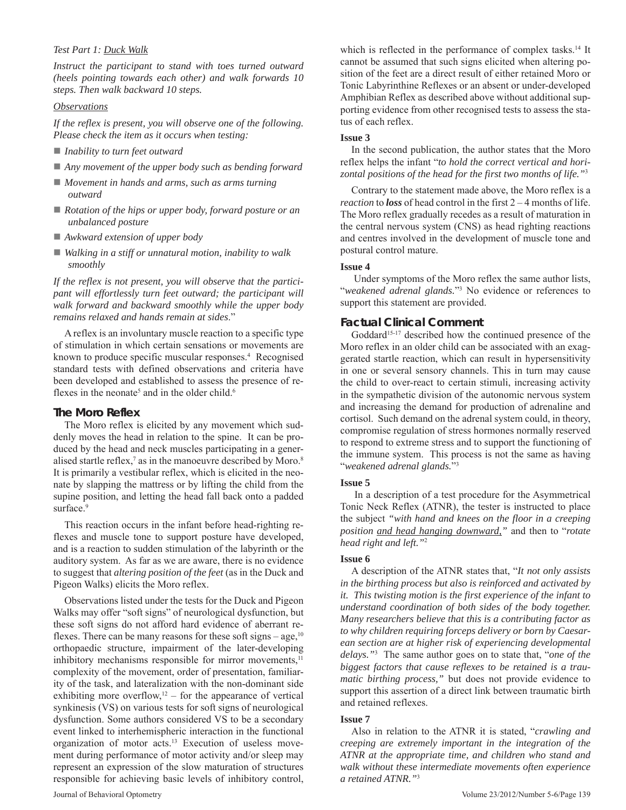## *Test Part 1: Duck Walk*

*Instruct the participant to stand with toes turned outward (heels pointing towards each other) and walk forwards 10 steps. Then walk backward 10 steps.*

## *Observations*

*If the reflex is present, you will observe one of the following. Please check the item as it occurs when testing:*

- *Inability to turn feet outward*
- *Any movement of the upper body such as bending forward*
- *Movement in hands and arms, such as arms turning outward*
- *Rotation of the hips or upper body, forward posture or an unbalanced posture*
- *Awkward extension of upper body*
- *Walking in a stiff or unnatural motion, inability to walk smoothly*

*If the reflex is not present, you will observe that the participant will effortlessly turn feet outward; the participant will walk forward and backward smoothly while the upper body remains relaxed and hands remain at sides*."

A reflex is an involuntary muscle reaction to a specific type of stimulation in which certain sensations or movements are known to produce specific muscular responses.<sup>4</sup> Recognised standard tests with defined observations and criteria have been developed and established to assess the presence of reflexes in the neonate<sup>5</sup> and in the older child.<sup>6</sup>

## **The Moro Reflex**

The Moro reflex is elicited by any movement which suddenly moves the head in relation to the spine. It can be produced by the head and neck muscles participating in a generalised startle reflex, $7$  as in the manoeuvre described by Moro.<sup>8</sup> It is primarily a vestibular reflex, which is elicited in the neonate by slapping the mattress or by lifting the child from the supine position, and letting the head fall back onto a padded surface.<sup>9</sup>

This reaction occurs in the infant before head-righting reflexes and muscle tone to support posture have developed, and is a reaction to sudden stimulation of the labyrinth or the auditory system. As far as we are aware, there is no evidence to suggest that *altering position of the feet* (as in the Duck and Pigeon Walks) elicits the Moro reflex.

Observations listed under the tests for the Duck and Pigeon Walks may offer "soft signs" of neurological dysfunction, but these soft signs do not afford hard evidence of aberrant reflexes. There can be many reasons for these soft signs – age,  $10$ orthopaedic structure, impairment of the later-developing inhibitory mechanisms responsible for mirror movements,<sup>11</sup> complexity of the movement, order of presentation, familiarity of the task, and lateralization with the non-dominant side exhibiting more overflow, $12$  – for the appearance of vertical synkinesis (VS) on various tests for soft signs of neurological dysfunction. Some authors considered VS to be a secondary event linked to interhemispheric interaction in the functional organization of motor acts.13 Execution of useless movement during performance of motor activity and/or sleep may represent an expression of the slow maturation of structures responsible for achieving basic levels of inhibitory control,

which is reflected in the performance of complex tasks.<sup>14</sup> It cannot be assumed that such signs elicited when altering position of the feet are a direct result of either retained Moro or Tonic Labyrinthine Reflexes or an absent or under-developed Amphibian Reflex as described above without additional supporting evidence from other recognised tests to assess the status of each reflex.

## **Issue 3**

In the second publication, the author states that the Moro reflex helps the infant "*to hold the correct vertical and horizontal positions of the head for the first two months of life."*<sup>3</sup>

Contrary to the statement made above, the Moro reflex is a *reaction* to *loss* of head control in the first 2 – 4 months of life. The Moro reflex gradually recedes as a result of maturation in the central nervous system (CNS) as head righting reactions and centres involved in the development of muscle tone and postural control mature.

## **Issue 4**

 Under symptoms of the Moro reflex the same author lists, "*weakened adrenal glands.*"3 No evidence or references to support this statement are provided.

## **Factual Clinical Comment**

Goddard<sup>15-17</sup> described how the continued presence of the Moro reflex in an older child can be associated with an exaggerated startle reaction, which can result in hypersensitivity in one or several sensory channels. This in turn may cause the child to over-react to certain stimuli, increasing activity in the sympathetic division of the autonomic nervous system and increasing the demand for production of adrenaline and cortisol. Such demand on the adrenal system could, in theory, compromise regulation of stress hormones normally reserved to respond to extreme stress and to support the functioning of the immune system. This process is not the same as having "*weakened adrenal glands.*"3

## **Issue 5**

 In a description of a test procedure for the Asymmetrical Tonic Neck Reflex (ATNR), the tester is instructed to place the subject *"with hand and knees on the floor in a creeping position and head hanging downward,"* and then to "*rotate head right and left."*<sup>2</sup>

## **Issue 6**

A description of the ATNR states that, "*It not only assists in the birthing process but also is reinforced and activated by it. This twisting motion is the first experience of the infant to understand coordination of both sides of the body together. Many researchers believe that this is a contributing factor as to why children requiring forceps delivery or born by Caesarean section are at higher risk of experiencing developmental delays."*<sup>3</sup> The same author goes on to state that, "*one of the biggest factors that cause reflexes to be retained is a traumatic birthing process,"* but does not provide evidence to support this assertion of a direct link between traumatic birth and retained reflexes.

## **Issue 7**

Also in relation to the ATNR it is stated, "*crawling and creeping are extremely important in the integration of the ATNR at the appropriate time, and children who stand and walk without these intermediate movements often experience a retained ATNR."*3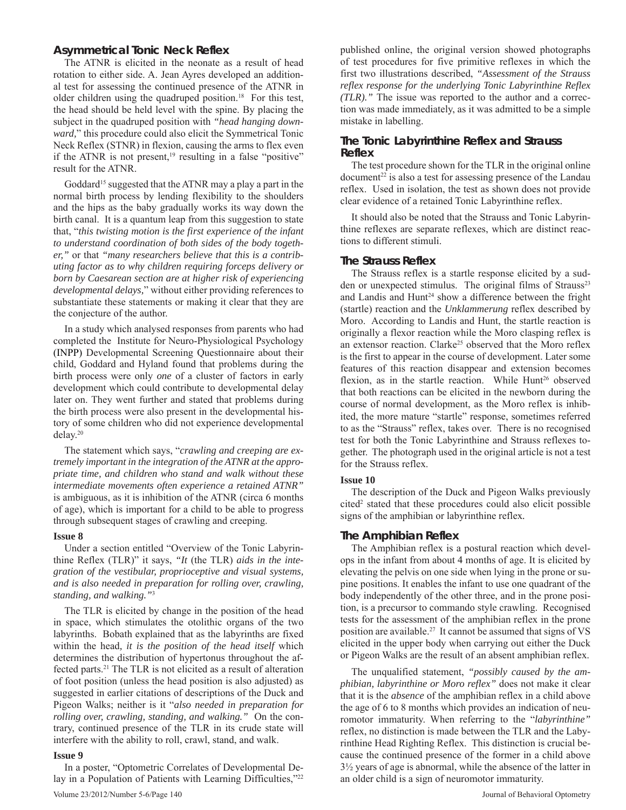## **Asymmetrical Tonic Neck Reflex**

The ATNR is elicited in the neonate as a result of head rotation to either side. A. Jean Ayres developed an additional test for assessing the continued presence of the ATNR in older children using the quadruped position.<sup>18</sup> For this test, the head should be held level with the spine. By placing the subject in the quadruped position with *"head hanging downward,*" this procedure could also elicit the Symmetrical Tonic Neck Reflex (STNR) in flexion, causing the arms to flex even if the ATNR is not present,<sup>19</sup> resulting in a false "positive" result for the ATNR.

Goddard<sup>15</sup> suggested that the ATNR may a play a part in the normal birth process by lending flexibility to the shoulders and the hips as the baby gradually works its way down the birth canal. It is a quantum leap from this suggestion to state that, "*this twisting motion is the first experience of the infant to understand coordination of both sides of the body together,"* or that *"many researchers believe that this is a contributing factor as to why children requiring forceps delivery or born by Caesarean section are at higher risk of experiencing developmental delays,*" without either providing references to substantiate these statements or making it clear that they are the conjecture of the author.

In a study which analysed responses from parents who had completed the Institute for Neuro-Physiological Psychology (INPP) Developmental Screening Questionnaire about their child, Goddard and Hyland found that problems during the birth process were only *one* of a cluster of factors in early development which could contribute to developmental delay later on. They went further and stated that problems during the birth process were also present in the developmental history of some children who did not experience developmental delay.20

The statement which says, "*crawling and creeping are extremely important in the integration of the ATNR at the appropriate time, and children who stand and walk without these intermediate movements often experience a retained ATNR"*  is ambiguous, as it is inhibition of the ATNR (circa 6 months of age), which is important for a child to be able to progress through subsequent stages of crawling and creeping.

## **Issue 8**

Under a section entitled "Overview of the Tonic Labyrinthine Reflex (TLR)" it says, *"It* (the TLR) *aids in the integration of the vestibular, proprioceptive and visual systems, and is also needed in preparation for rolling over, crawling, standing, and walking."*<sup>3</sup>

The TLR is elicited by change in the position of the head in space, which stimulates the otolithic organs of the two labyrinths. Bobath explained that as the labyrinths are fixed within the head*, it is the position of the head itself* which determines the distribution of hypertonus throughout the affected parts.21 The TLR is not elicited as a result of alteration of foot position (unless the head position is also adjusted) as suggested in earlier citations of descriptions of the Duck and Pigeon Walks; neither is it "*also needed in preparation for rolling over, crawling, standing, and walking."* On the contrary, continued presence of the TLR in its crude state will interfere with the ability to roll, crawl, stand, and walk.

#### **Issue 9**

Volume 23/2012/Number 5-6/Page 140 Journal of Behavioral Optometry In a poster, "Optometric Correlates of Developmental Delay in a Population of Patients with Learning Difficulties,"22

published online, the original version showed photographs of test procedures for five primitive reflexes in which the first two illustrations described, *"Assessment of the Strauss reflex response for the underlying Tonic Labyrinthine Reflex (TLR)."* The issue was reported to the author and a correction was made immediately, as it was admitted to be a simple mistake in labelling.

## **The Tonic Labyrinthine Reflex and Strauss Reflex**

The test procedure shown for the TLR in the original online  $document<sup>22</sup>$  is also a test for assessing presence of the Landau reflex. Used in isolation, the test as shown does not provide clear evidence of a retained Tonic Labyrinthine reflex.

It should also be noted that the Strauss and Tonic Labyrinthine reflexes are separate reflexes, which are distinct reactions to different stimuli.

## **The Strauss Reflex**

The Strauss reflex is a startle response elicited by a sudden or unexpected stimulus. The original films of Strauss<sup>23</sup> and Landis and Hunt<sup>24</sup> show a difference between the fright (startle) reaction and the *Unklammerung* reflex described by Moro. According to Landis and Hunt, the startle reaction is originally a flexor reaction while the Moro clasping reflex is an extensor reaction. Clarke<sup>25</sup> observed that the Moro reflex is the first to appear in the course of development. Later some features of this reaction disappear and extension becomes flexion, as in the startle reaction. While Hunt<sup>26</sup> observed that both reactions can be elicited in the newborn during the course of normal development, as the Moro reflex is inhibited, the more mature "startle" response, sometimes referred to as the "Strauss" reflex, takes over. There is no recognised test for both the Tonic Labyrinthine and Strauss reflexes together. The photograph used in the original article is not a test for the Strauss reflex.

## **Issue 10**

The description of the Duck and Pigeon Walks previously cited<sup>2</sup> stated that these procedures could also elicit possible signs of the amphibian or labyrinthine reflex*.*

## **The Amphibian Reflex**

The Amphibian reflex is a postural reaction which develops in the infant from about 4 months of age. It is elicited by elevating the pelvis on one side when lying in the prone or supine positions. It enables the infant to use one quadrant of the body independently of the other three, and in the prone position, is a precursor to commando style crawling. Recognised tests for the assessment of the amphibian reflex in the prone position are available.27 It cannot be assumed that signs of VS elicited in the upper body when carrying out either the Duck or Pigeon Walks are the result of an absent amphibian reflex.

The unqualified statement, *"possibly caused by the amphibian, labyrinthine or Moro reflex"* does not make it clear that it is the *absence* of the amphibian reflex in a child above the age of 6 to 8 months which provides an indication of neuromotor immaturity. When referring to the "*labyrinthine"*  reflex, no distinction is made between the TLR and the Labyrinthine Head Righting Reflex. This distinction is crucial because the continued presence of the former in a child above 3½ years of age is abnormal, while the absence of the latter in an older child is a sign of neuromotor immaturity.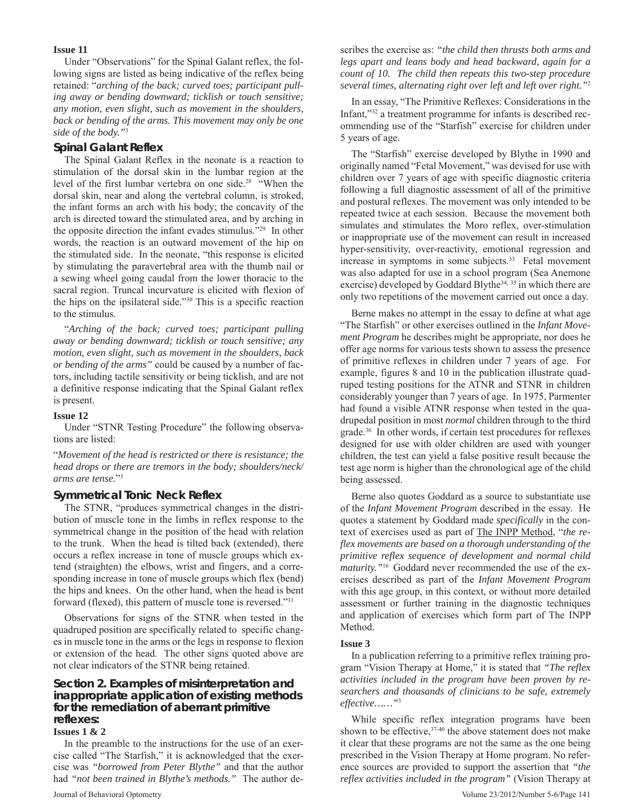### **Issue 11**

Under "Observations" for the Spinal Galant reflex, the following signs are listed as being indicative of the reflex being retained: "*arching of the back; curved toes; participant pulling away or bending downward; ticklish or touch sensitive; any motion, even slight, such as movement in the shoulders, back or bending of the arms. This movement may only be one side of the body."*<sup>3</sup>

### **Spinal Galant Reflex**

The Spinal Galant Reflex in the neonate is a reaction to stimulation of the dorsal skin in the lumbar region at the level of the first lumbar vertebra on one side.28 "When the dorsal skin, near and along the vertebral column, is stroked, the infant forms an arch with his body; the concavity of the arch is directed toward the stimulated area, and by arching in the opposite direction the infant evades stimulus."29 In other words, the reaction is an outward movement of the hip on the stimulated side. In the neonate, "this response is elicited by stimulating the paravertebral area with the thumb nail or a sewing wheel going caudal from the lower thoracic to the sacral region. Truncal incurvature is elicited with flexion of the hips on the ipsilateral side."30 This is a specific reaction to the stimulus.

"*Arching of the back; curved toes; participant pulling away or bending downward; ticklish or touch sensitive; any motion, even slight, such as movement in the shoulders, back or bending of the arms"* could be caused by a number of factors, including tactile sensitivity or being ticklish, and are not a definitive response indicating that the Spinal Galant reflex is present.

#### **Issue 12**

Under "STNR Testing Procedure" the following observations are listed:

"*Movement of the head is restricted or there is resistance; the head drops or there are tremors in the body; shoulders/neck/ arms are tense.*"3

#### **Symmetrical Tonic Neck Reflex**

The STNR, "produces symmetrical changes in the distribution of muscle tone in the limbs in reflex response to the symmetrical change in the position of the head with relation to the trunk. When the head is tilted back (extended), there occurs a reflex increase in tone of muscle groups which extend (straighten) the elbows, wrist and fingers, and a corresponding increase in tone of muscle groups which flex (bend) the hips and knees. On the other hand, when the head is bent forward (flexed), this pattern of muscle tone is reversed."31

Observations for signs of the STNR when tested in the quadruped position are specifically related to specific changes in muscle tone in the arms or the legs in response to flexion or extension of the head. The other signs quoted above are not clear indicators of the STNR being retained.

## **Section 2. Examples of misinterpretation and inappropriate application of existing methods for the remediation of aberrant primitive reflexes:**

#### **Issues 1 & 2**

In the preamble to the instructions for the use of an exercise called "The Starfish," it is acknowledged that the exercise was *"borrowed from Peter Blythe"* and that the author had *"not been trained in Blythe's methods."*The author de-

scribes the exercise as: *"the child then thrusts both arms and legs apart and leans body and head backward, again for a count of 10. The child then repeats this two-step procedure several times, alternating right over left and left over right."*<sup>2</sup>

In an essay, "The Primitive Reflexes: Considerations in the Infant,"32 a treatment programme for infants is described recommending use of the "Starfish" exercise for children under 5 years of age.

The "Starfish" exercise developed by Blythe in 1990 and originally named "Fetal Movement," was devised for use with children over 7 years of age with specific diagnostic criteria following a full diagnostic assessment of all of the primitive and postural reflexes. The movement was only intended to be repeated twice at each session. Because the movement both simulates and stimulates the Moro reflex, over-stimulation or inappropriate use of the movement can result in increased hyper-sensitivity, over-reactivity, emotional regression and increase in symptoms in some subjects.<sup>33</sup> Fetal movement was also adapted for use in a school program (Sea Anemone exercise) developed by Goddard Blythe<sup>34, 35</sup> in which there are only two repetitions of the movement carried out once a day.

Berne makes no attempt in the essay to define at what age "The Starfish" or other exercises outlined in the *Infant Movement Program* he describes might be appropriate, nor does he offer age norms for various tests shown to assess the presence of primitive reflexes in children under 7 years of age. For example, figures 8 and 10 in the publication illustrate quadruped testing positions for the ATNR and STNR in children considerably younger than 7 years of age. In 1975, Parmenter had found a visible ATNR response when tested in the quadrupedal position in most *normal* children through to the third grade.36 In other words, if certain test procedures for reflexes designed for use with older children are used with younger children, the test can yield a false positive result because the test age norm is higher than the chronological age of the child being assessed.

Berne also quotes Goddard as a source to substantiate use of the *Infant Movement Program* described in the essay. He quotes a statement by Goddard made *specifically* in the context of exercises used as part of The INPP Method, "*the reflex movements are based on a thorough understanding of the primitive reflex sequence of development and normal child maturity."*16 Goddard never recommended the use of the exercises described as part of the *Infant Movement Program* with this age group, in this context, or without more detailed assessment or further training in the diagnostic techniques and application of exercises which form part of The INPP Method.

#### **Issue 3**

In a publication referring to a primitive reflex training program "Vision Therapy at Home," it is stated that *"The reflex activities included in the program have been proven by researchers and thousands of clinicians to be safe, extremely effective……"*<sup>3</sup>

While specific reflex integration programs have been shown to be effective,  $37-40$  the above statement does not make it clear that these programs are not the same as the one being prescribed in the Vision Therapy at Home program. No reference sources are provided to support the assertion that *"the reflex activities included in the program"* (Vision Therapy at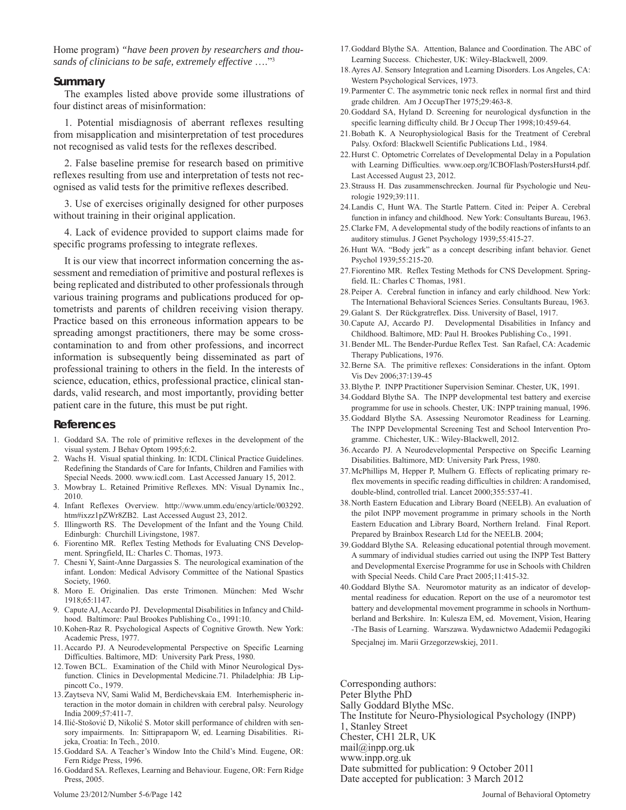Home program) *"have been proven by researchers and thousands of clinicians to be safe, extremely effective* …."3

#### **Summary**

The examples listed above provide some illustrations of four distinct areas of misinformation:

1. Potential misdiagnosis of aberrant reflexes resulting from misapplication and misinterpretation of test procedures not recognised as valid tests for the reflexes described.

2. False baseline premise for research based on primitive reflexes resulting from use and interpretation of tests not recognised as valid tests for the primitive reflexes described.

3. Use of exercises originally designed for other purposes without training in their original application.

4. Lack of evidence provided to support claims made for specific programs professing to integrate reflexes.

It is our view that incorrect information concerning the assessment and remediation of primitive and postural reflexes is being replicated and distributed to other professionals through various training programs and publications produced for optometrists and parents of children receiving vision therapy. Practice based on this erroneous information appears to be spreading amongst practitioners, there may be some crosscontamination to and from other professions, and incorrect information is subsequently being disseminated as part of professional training to others in the field. In the interests of science, education, ethics, professional practice, clinical standards, valid research, and most importantly, providing better patient care in the future, this must be put right.

#### **References**

- 1. Goddard SA. The role of primitive reflexes in the development of the visual system. J Behav Optom 1995;6:2.
- Wachs H. Visual spatial thinking. In: ICDL Clinical Practice Guidelines. Redefining the Standards of Care for Infants, Children and Families with Special Needs. 2000. www.icdl.com. Last Accessed January 15, 2012.
- 3. Mowbray L. Retained Primitive Reflexes. MN: Visual Dynamix Inc., 2010.
- 4. Infant Reflexes Overview. http://www.umm.edu/ency/article/003292. htm#ixzz1pZWr8ZB2. Last Accessed August 23, 2012.
- 5. Illingworth RS. The Development of the Infant and the Young Child. Edinburgh: Churchill Livingstone, 1987.
- 6. Fiorentino MR. Reflex Testing Methods for Evaluating CNS Development. Springfield, IL: Charles C. Thomas, 1973.
- 7. Chesni Y, Saint-Anne Dargassies S. The neurological examination of the infant. London: Medical Advisory Committee of the National Spastics Society, 1960.
- 8. Moro E. Originalien. Das erste Trimonen. München: Med Wschr 1918;65:1147.
- 9. Capute AJ, Accardo PJ. Developmental Disabilities in Infancy and Childhood. Baltimore: Paul Brookes Publishing Co., 1991:10.
- 10. Kohen-Raz R. Psychological Aspects of Cognitive Growth. New York: Academic Press, 1977.
- 11. Accardo PJ. A Neurodevelopmental Perspective on Specific Learning Difficulties. Baltimore, MD: University Park Press, 1980.
- 12. Towen BCL. Examination of the Child with Minor Neurological Dysfunction. Clinics in Developmental Medicine.71. Philadelphia: JB Lippincott Co., 1979.
- 13. Zaytseva NV, Sami Walid M, Berdichevskaia EM. Interhemispheric interaction in the motor domain in children with cerebral palsy. Neurology India 2009;57:411-7.
- 14. Ilić-Stošović D, Nikolić S. Motor skill performance of children with sensory impairments. In: Sittiprapaporn W, ed. Learning Disabilities. Rijeka, Croatia: In Tech., 2010.
- 15. Goddard SA. A Teacher's Window Into the Child's Mind. Eugene, OR: Fern Ridge Press, 1996.
- 16. Goddard SA. Reflexes, Learning and Behaviour. Eugene, OR: Fern Ridge Press, 2005.
- 17. Goddard Blythe SA. Attention, Balance and Coordination. The ABC of Learning Success. Chichester, UK: Wiley-Blackwell, 2009.
- 18. Ayres AJ. Sensory Integration and Learning Disorders. Los Angeles, CA: Western Psychological Services, 1973.
- 19. Parmenter C. The asymmetric tonic neck reflex in normal first and third grade children. Am J OccupTher 1975;29:463-8.
- 20. Goddard SA, Hyland D. Screening for neurological dysfunction in the specific learning difficulty child. Br J Occup Ther 1998;10:459-64.
- 21. Bobath K. A Neurophysiological Basis for the Treatment of Cerebral Palsy. Oxford: Blackwell Scientific Publications Ltd., 1984.
- 22. Hurst C. Optometric Correlates of Developmental Delay in a Population with Learning Difficulties. www.oep.org/ICBOFlash/PostersHurst4.pdf. Last Accessed August 23, 2012.
- 23. Strauss H. Das zusammenschrecken. Journal für Psychologie und Neurologie 1929;39:111.
- 24. Landis C, Hunt WA. The Startle Pattern. Cited in: Peiper A. Cerebral function in infancy and childhood. New York: Consultants Bureau, 1963.
- 25. Clarke FM, A developmental study of the bodily reactions of infants to an auditory stimulus. J Genet Psychology 1939;55:415-27.
- 26. Hunt WA. "Body jerk" as a concept describing infant behavior. Genet Psychol 1939;55:215-20.
- 27. Fiorentino MR. Reflex Testing Methods for CNS Development. Springfield. IL: Charles C Thomas, 1981.
- 28. Peiper A. Cerebral function in infancy and early childhood. New York: The International Behavioral Sciences Series. Consultants Bureau, 1963.
- 29. Galant S. Der Rückgratreflex. Diss. University of Basel, 1917.
- 30. Capute AJ, Accardo PJ. Developmental Disabilities in Infancy and Childhood. Baltimore, MD: Paul H. Brookes Publishing Co., 1991.
- 31. Bender ML. The Bender-Purdue Reflex Test. San Rafael, CA: Academic Therapy Publications, 1976.
- 32. Berne SA. The primitive reflexes: Considerations in the infant. Optom Vis Dev 2006;37:139-45
- 33. Blythe P. INPP Practitioner Supervision Seminar. Chester, UK, 1991.
- 34. Goddard Blythe SA. The INPP developmental test battery and exercise programme for use in schools. Chester, UK: INPP training manual, 1996.
- 35. Goddard Blythe SA. Assessing Neuromotor Readiness for Learning. The INPP Developmental Screening Test and School Intervention Programme. Chichester, UK.: Wiley-Blackwell, 2012.
- 36. Accardo PJ. A Neurodevelopmental Perspective on Specific Learning Disabilities. Baltimore, MD: University Park Press, 1980.
- 37. McPhillips M, Hepper P, Mulhern G. Effects of replicating primary reflex movements in specific reading difficulties in children: A randomised, double-blind, controlled trial. Lancet 2000;355:537-41.
- 38. North Eastern Education and Library Board (NEELB). An evaluation of the pilot INPP movement programme in primary schools in the North Eastern Education and Library Board, Northern Ireland. Final Report. Prepared by Brainbox Research Ltd for the NEELB. 2004;
- 39. Goddard Blythe SA. Releasing educational potential through movement. A summary of individual studies carried out using the INPP Test Battery and Developmental Exercise Programme for use in Schools with Children with Special Needs. Child Care Pract 2005;11:415-32.
- 40. Goddard Blythe SA. Neuromotor maturity as an indicator of developmental readiness for education. Report on the use of a neuromotor test battery and developmental movement programme in schools in Northumberland and Berkshire. In: Kulesza EM, ed. Movement, Vision, Hearing -The Basis of Learning. Warszawa. Wydawnictwo Adademii Pedagogiki Specjalnej im. Marii Grzegorzewskiej, 2011.

Corresponding authors: Peter Blythe PhD Sally Goddard Blythe MSc. The Institute for Neuro-Physiological Psychology (INPP) 1, Stanley Street Chester, CH1 2LR, UK mail@inpp.org.uk www.inpp.org.uk Date submitted for publication: 9 October 2011 Date accepted for publication: 3 March 2012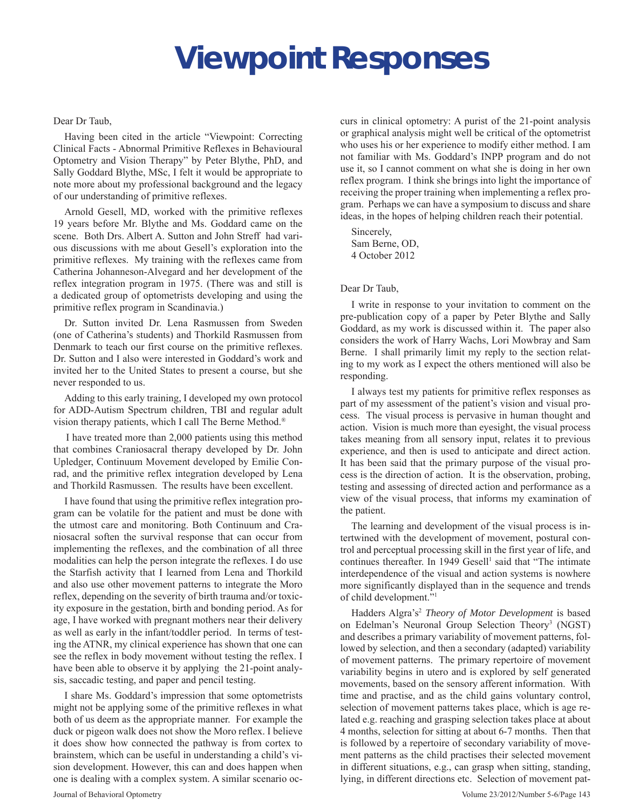# **Viewpoint Responses**

## Dear Dr Taub,

Having been cited in the article "Viewpoint: Correcting Clinical Facts - Abnormal Primitive Reflexes in Behavioural Optometry and Vision Therapy" by Peter Blythe, PhD, and Sally Goddard Blythe, MSc, I felt it would be appropriate to note more about my professional background and the legacy of our understanding of primitive reflexes.

Arnold Gesell, MD, worked with the primitive reflexes 19 years before Mr. Blythe and Ms. Goddard came on the scene. Both Drs. Albert A. Sutton and John Streff had various discussions with me about Gesell's exploration into the primitive reflexes. My training with the reflexes came from Catherina Johanneson-Alvegard and her development of the reflex integration program in 1975. (There was and still is a dedicated group of optometrists developing and using the primitive reflex program in Scandinavia.)

Dr. Sutton invited Dr. Lena Rasmussen from Sweden (one of Catherina's students) and Thorkild Rasmussen from Denmark to teach our first course on the primitive reflexes. Dr. Sutton and I also were interested in Goddard's work and invited her to the United States to present a course, but she never responded to us.

Adding to this early training, I developed my own protocol for ADD-Autism Spectrum children, TBI and regular adult vision therapy patients, which I call The Berne Method.®

I have treated more than 2,000 patients using this method that combines Craniosacral therapy developed by Dr. John Upledger, Continuum Movement developed by Emilie Conrad, and the primitive reflex integration developed by Lena and Thorkild Rasmussen. The results have been excellent.

I have found that using the primitive reflex integration program can be volatile for the patient and must be done with the utmost care and monitoring. Both Continuum and Craniosacral soften the survival response that can occur from implementing the reflexes, and the combination of all three modalities can help the person integrate the reflexes. I do use the Starfish activity that I learned from Lena and Thorkild and also use other movement patterns to integrate the Moro reflex, depending on the severity of birth trauma and/or toxicity exposure in the gestation, birth and bonding period. As for age, I have worked with pregnant mothers near their delivery as well as early in the infant/toddler period. In terms of testing the ATNR, my clinical experience has shown that one can see the reflex in body movement without testing the reflex. I have been able to observe it by applying the 21-point analysis, saccadic testing, and paper and pencil testing.

I share Ms. Goddard's impression that some optometrists might not be applying some of the primitive reflexes in what both of us deem as the appropriate manner. For example the duck or pigeon walk does not show the Moro reflex. I believe it does show how connected the pathway is from cortex to brainstem, which can be useful in understanding a child's vision development. However, this can and does happen when one is dealing with a complex system. A similar scenario occurs in clinical optometry: A purist of the 21-point analysis or graphical analysis might well be critical of the optometrist who uses his or her experience to modify either method. I am not familiar with Ms. Goddard's INPP program and do not use it, so I cannot comment on what she is doing in her own reflex program. I think she brings into light the importance of receiving the proper training when implementing a reflex program. Perhaps we can have a symposium to discuss and share ideas, in the hopes of helping children reach their potential.

Sincerely, Sam Berne, OD, 4 October 2012

## Dear Dr Taub,

I write in response to your invitation to comment on the pre-publication copy of a paper by Peter Blythe and Sally Goddard, as my work is discussed within it. The paper also considers the work of Harry Wachs, Lori Mowbray and Sam Berne. I shall primarily limit my reply to the section relating to my work as I expect the others mentioned will also be responding.

I always test my patients for primitive reflex responses as part of my assessment of the patient's vision and visual process. The visual process is pervasive in human thought and action. Vision is much more than eyesight, the visual process takes meaning from all sensory input, relates it to previous experience, and then is used to anticipate and direct action. It has been said that the primary purpose of the visual process is the direction of action. It is the observation, probing, testing and assessing of directed action and performance as a view of the visual process, that informs my examination of the patient.

The learning and development of the visual process is intertwined with the development of movement, postural control and perceptual processing skill in the first year of life, and continues thereafter. In 1949 Gesell<sup>1</sup> said that "The intimate interdependence of the visual and action systems is nowhere more significantly displayed than in the sequence and trends of child development."1

Hadders Algra's2 *Theory of Motor Development* is based on Edelman's Neuronal Group Selection Theory<sup>3</sup> (NGST) and describes a primary variability of movement patterns, followed by selection, and then a secondary (adapted) variability of movement patterns. The primary repertoire of movement variability begins in utero and is explored by self generated movements, based on the sensory afferent information. With time and practise, and as the child gains voluntary control, selection of movement patterns takes place, which is age related e.g. reaching and grasping selection takes place at about 4 months, selection for sitting at about 6-7 months. Then that is followed by a repertoire of secondary variability of movement patterns as the child practises their selected movement in different situations, e.g., can grasp when sitting, standing, lying, in different directions etc. Selection of movement pat